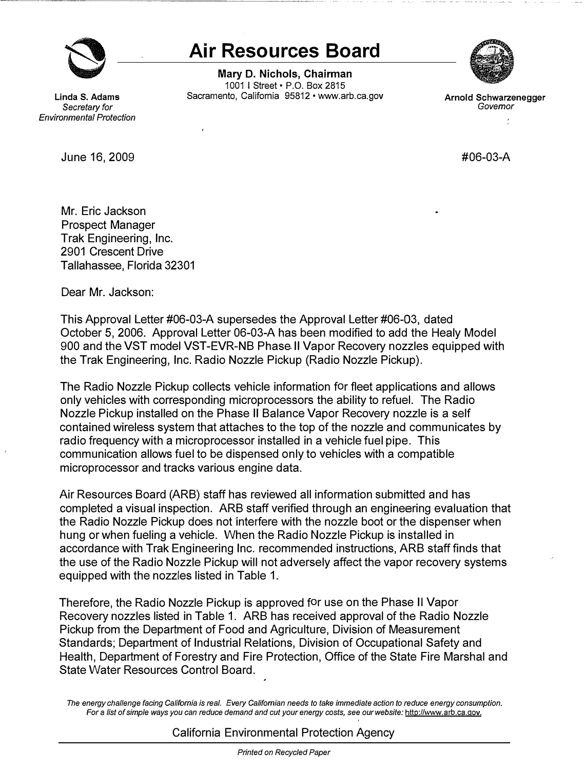

**e air Resources Board<br>
Mary D. Nichols, Chairman<br>
1001 | Street • P.O. Box 2815<br>
Sacramento, California 95812 • www.arb.ca.gov Mary D. Nichols, Chairman**  1001 I Street• P.O. Box 2815 Linda S. Adams **Sacramento, California 95812 • www.arb.ca.gov Arnold Schwarzenegger Covernor Covernor** 



*Secretary for Governor Environmental Protection* 

June 16, 2009 **#06-03-A** 

Mr. Eric Jackson Prospect Manager Trak Engineering, Inc. 2901 Crescent Drive Tallahassee, Florida 32301

Dear Mr. Jackson:

This Approval Letter #06-03-A supersedes the Approval Letter #06-03, dated October 5, 2006. Approval Letter 06-03-A has been modified to add the Healy Model 900 and the VST model VST-EVR-NB Phase II Vapor Recovery nozzles equipped with the Trak Engineering, Inc. Radio Nozzle Pickup (Radio Nozzle Pickup).

The Radio Nozzle Pickup collects vehicle information for fleet applications and allows only vehicles with corresponding microprocessors the ability to refuel. The Radio Nozzle Pickup installed on the Phase II Balance Vapor Recovery nozzle is a self contained wireless system that attaches to the top of the nozzle and communicates by radio frequency with a microprocessor installed in a vehicle fuel pipe. This communication allows fuel to be dispensed only to vehicles with a compatible microprocessor and tracks various engine data.

Air Resources Board (ARB) staff has reviewed all information submitted and has completed a visual inspection. ARB staff verified through an engineering evaluation that the Radio Nozzle Pickup does not interfere with the nozzle boot or the dispenser when hung or when fueling a vehicle. When the Radio Nozzle Pickup is installed in accordance with Trak Engineering Inc. recommended instructions, ARB staff finds that the use of the Radio Nozzle Pickup will not adversely affect the vapor recovery systems equipped with the nozzles listed in Table 1.

Therefore, the Radio Nozzle Pickup is approved for use on the Phase II Vapor Recovery nozzles listed in Table 1. ARB has received approval of the Radio Nozzle Pickup from the Department of Food and Agriculture, Division of Measurement Standards; Department of Industrial Relations, Division of Occupational Safety and Health, Department of Forestry and Fire Protection, Office of the State Fire Marshal and State Water Resources Control Board.

*The energy challenge facing California is real. Every Californian needs to take immediate action to reduce energy consumption.*  For a list of simple ways you can reduce demand and cut your energy costs, see our website: [http://www.arb.ca.gov.](http://www.arb.ca.gov)

California Environmental Protection Agency